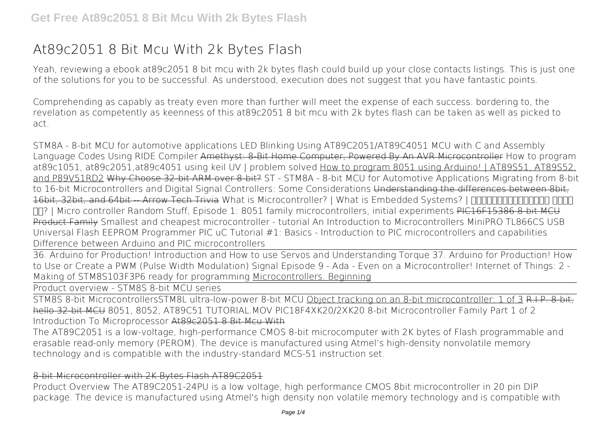# **At89c2051 8 Bit Mcu With 2k Bytes Flash**

Yeah, reviewing a ebook **at89c2051 8 bit mcu with 2k bytes flash** could build up your close contacts listings. This is just one of the solutions for you to be successful. As understood, execution does not suggest that you have fantastic points.

Comprehending as capably as treaty even more than further will meet the expense of each success. bordering to, the revelation as competently as keenness of this at89c2051 8 bit mcu with 2k bytes flash can be taken as well as picked to act.

STM8A - 8-bit MCU for automotive applications LED Blinking Using AT89C2051/AT89C4051 MCU with C and Assembly Language Codes Using RIDE Compiler Amethyst: 8-Bit Home Computer, Powered By An AVR Microcontroller How to program at89c1051, at89c2051,at89c4051 using keil UV | problem solved How to program 8051 using Arduino! | AT89S51, AT89S52, and P89V51RD2 Why Choose 32-bit ARM over 8-bit? ST - STM8A - 8-bit MCU for Automotive Applications Migrating from 8-bit to 16-bit Microcontrollers and Digital Signal Controllers: Some Considerations Understanding the differences between 8bit, 16bit, 32bit, and 64bit -- Arrow Tech Trivia What is Microcontroller? | What is Embedded Systems? | <u>HHIFHINHINHINH</u> **FIFIP** | Micro controller Random Stuff, Episode 1: 8051 family microcontrollers, initial experiments PIC16F15386 8-bit MCU Product Family **Smallest and cheapest microcontroller - tutorial An Introduction to Microcontrollers** *MiniPRO TL866CS USB Universal Flash EEPROM Programmer PIC uC Tutorial #1: Basics - Introduction to PIC microcontrollers and capabilities* **Difference between Arduino and PIC microcontrollers**

36. Arduino for Production! Introduction and How to use Servos and Understanding Torque 37. Arduino for Production! How to Use or Create a PWM (Pulse Width Modulation) Signal **Episode 9 - Ada - Even on a Microcontroller!** *Internet of Things: 2 - Making of STM8S103F3P6 ready for programming* Microcontrollers. Beginning

Product overview - STM8S 8-bit MCU series

STM8S 8-bit Microcontrollers*STM8L ultra-low-power 8-bit MCU* Object tracking on an 8-bit microcontroller: 1 of 3 R.I.P. 8-bit, hello 32-bit MCU *8051, 8052, AT89C51 TUTORIAL.MOV PIC18F4XK20/2XK20 8-bit Microcontroller Family Part 1 of 2 Introduction To Microprocessor* At89c2051 8 Bit Mcu With

The AT89C2051 is a low-voltage, high-performance CMOS 8-bit microcomputer with 2K bytes of Flash programmable and erasable read-only memory (PEROM). The device is manufactured using Atmel's high-density nonvolatile memory technology and is compatible with the industry-standard MCS-51 instruction set.

#### 8-bit Microcontroller with 2K Bytes Flash AT89C2051

Product Overview The AT89C2051-24PU is a low voltage, high performance CMOS 8bit microcontroller in 20 pin DIP package. The device is manufactured using Atmel's high density non volatile memory technology and is compatible with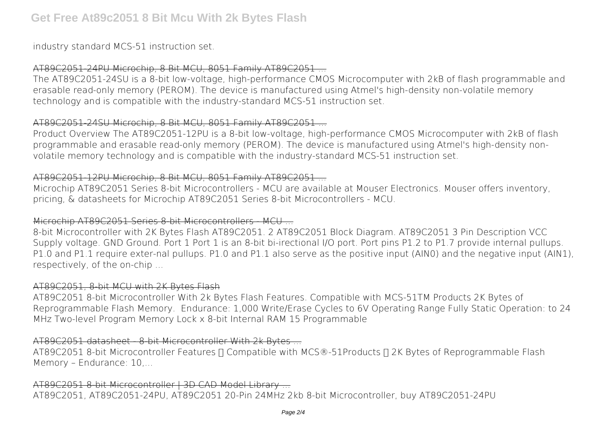industry standard MCS-51 instruction set.

# AT89C2051-24PU Microchip, 8 Bit MCU, 8051 Family AT89C2051 ...

The AT89C2051-24SU is a 8-bit low-voltage, high-performance CMOS Microcomputer with 2kB of flash programmable and erasable read-only memory (PEROM). The device is manufactured using Atmel's high-density non-volatile memory technology and is compatible with the industry-standard MCS-51 instruction set.

# AT89C2051-24SU Microchip, 8 Bit MCU, 8051 Family AT89C2051

Product Overview The AT89C2051-12PU is a 8-bit low-voltage, high-performance CMOS Microcomputer with 2kB of flash programmable and erasable read-only memory (PEROM). The device is manufactured using Atmel's high-density nonvolatile memory technology and is compatible with the industry-standard MCS-51 instruction set.

# AT89C2051-12PU Microchip, 8 Bit MCU, 8051 Family AT89C2051 ...

Microchip AT89C2051 Series 8-bit Microcontrollers - MCU are available at Mouser Electronics. Mouser offers inventory, pricing, & datasheets for Microchip AT89C2051 Series 8-bit Microcontrollers - MCU.

# Microchip AT89C2051 Series 8-bit Microcontrollers - MCU ...

8-bit Microcontroller with 2K Bytes Flash AT89C2051. 2 AT89C2051 Block Diagram. AT89C2051 3 Pin Description VCC Supply voltage. GND Ground. Port 1 Port 1 is an 8-bit bi-irectional I/O port. Port pins P1.2 to P1.7 provide internal pullups. P1.0 and P1.1 require exter-nal pullups. P1.0 and P1.1 also serve as the positive input (AIN0) and the negative input (AIN1), respectively, of the on-chip ...

#### AT89C2051, 8-bit MCU with 2K Bytes Flash

AT89C2051 8-bit Microcontroller With 2k Bytes Flash Features. Compatible with MCS-51TM Products 2K Bytes of Reprogrammable Flash Memory. Endurance: 1,000 Write/Erase Cycles to 6V Operating Range Fully Static Operation: to 24 MHz Two-level Program Memory Lock x 8-bit Internal RAM 15 Programmable

#### AT89C2051 datasheet - 8-bit Microcontroller With 2k Bytes ...

AT89C2051 8-bit Microcontroller Features II Compatible with MCS®-51Products II 2K Bytes of Reprogrammable Flash Memory – Endurance: 10,...

AT89C2051 8-bit Microcontroller | 3D CAD Model Library ... AT89C2051, AT89C2051-24PU, AT89C2051 20-Pin 24MHz 2kb 8-bit Microcontroller, buy AT89C2051-24PU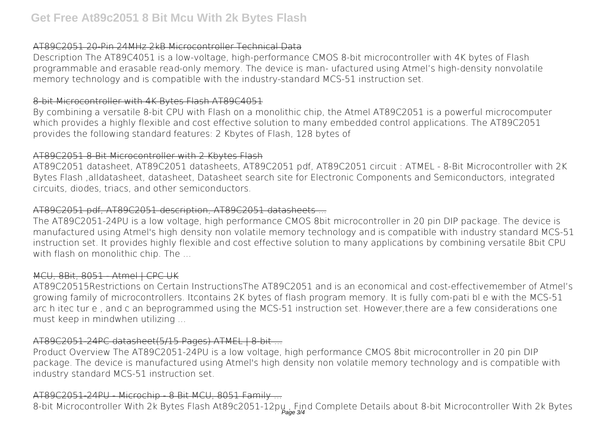# AT89C2051 20-Pin 24MHz 2kB Microcontroller Technical Data

Description The AT89C4051 is a low-voltage, high-performance CMOS 8-bit microcontroller with 4K bytes of Flash programmable and erasable read-only memory. The device is man- ufactured using Atmel's high-density nonvolatile memory technology and is compatible with the industry-standard MCS-51 instruction set.

#### 8-bit Microcontroller with 4K Bytes Flash AT89C4051

By combining a versatile 8-bit CPU with Flash on a monolithic chip, the Atmel AT89C2051 is a powerful microcomputer which provides a highly flexible and cost effective solution to many embedded control applications. The AT89C2051 provides the following standard features: 2 Kbytes of Flash, 128 bytes of

## AT89C2051 8-Bit Microcontroller with 2 Kbytes Flash

AT89C2051 datasheet, AT89C2051 datasheets, AT89C2051 pdf, AT89C2051 circuit : ATMEL - 8-Bit Microcontroller with 2K Bytes Flash ,alldatasheet, datasheet, Datasheet search site for Electronic Components and Semiconductors, integrated circuits, diodes, triacs, and other semiconductors.

# AT89C2051 pdf, AT89C2051 description, AT89C2051 datasheets ...

The AT89C2051-24PU is a low voltage, high performance CMOS 8bit microcontroller in 20 pin DIP package. The device is manufactured using Atmel's high density non volatile memory technology and is compatible with industry standard MCS-51 instruction set. It provides highly flexible and cost effective solution to many applications by combining versatile 8bit CPU with flash on monolithic chip. The ...

# MCU, 8Bit, 8051 Atmel | CPC UK

AT89C20515Restrictions on Certain InstructionsThe AT89C2051 and is an economical and cost-effectivemember of Atmel's growing family of microcontrollers. Itcontains 2K bytes of flash program memory. It is fully com-pati bl e with the MCS-51 arc h itec tur e , and c an beprogrammed using the MCS-51 instruction set. However,there are a few considerations one must keep in mindwhen utilizing ...

# AT89C2051-24PC datasheet(5/15 Pages) ATMEL | 8-bit ...

Product Overview The AT89C2051-24PU is a low voltage, high performance CMOS 8bit microcontroller in 20 pin DIP package. The device is manufactured using Atmel's high density non volatile memory technology and is compatible with industry standard MCS-51 instruction set.

# AT89C2051-24PU - Microchip - 8 Bit MCU, 8051 Family

8-bit Microcontroller With 2k Bytes Flash At89c2051-12pu, Find Complete Details about 8-bit Microcontroller With 2k Bytes